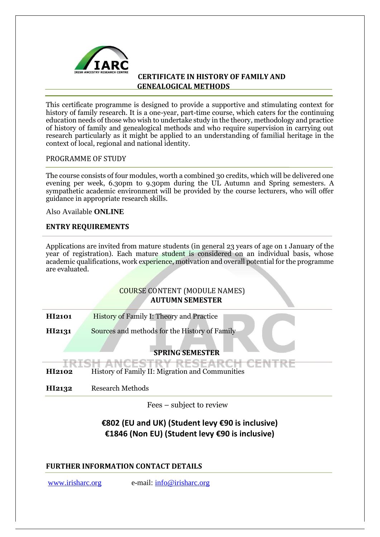

This certificate programme is designed to provide a supportive and stimulating context for history of family research. It is a one-year, part-time course, which caters for the continuing education needs of those who wish to undertake study in the theory, methodology and practice of history of family and genealogical methods and who require supervision in carrying out research particularly as it might be applied to an understanding of familial heritage in the context of local, regional and national identity.

### PROGRAMME OF STUDY

The course consists of four modules, worth a combined 30 credits, which will be delivered one evening per week, 6.30pm to 9.30pm during the UL Autumn and Spring semesters. A sympathetic academic environment will be provided by the course lecturers, who will offer guidance in appropriate research skills.

Also Available **ONLINE**

### **ENTRY REQUIREMENTS**

Applications are invited from mature students (in general 23 years of age on 1 January of the year of registration). Each mature student is considered on an individual basis, whose academic qualifications, work experience, motivation and overall potential for the programme are evaluated.

# COURSE CONTENT (MODULE NAMES) **AUTUMN SEMESTER**

**HI2101** History of Family I: Theory and Practice

**HI2131** Sources and methods for the History of Family

# **SPRING SEMESTER**

<u> TARCEL</u>

**HI2102** History of Family II: Migration and Communities

**HI2132** Research Methods

Fees – subject to review

# **€802 (EU and UK) (Student levy €90 is inclusive) €1846 (Non EU) (Student levy €90 is inclusive)**

# **FURTHER INFORMATION CONTACT DETAILS**

[www.irisharc.org](http://www.irisharc.org/) e-mail: info@irisharc.org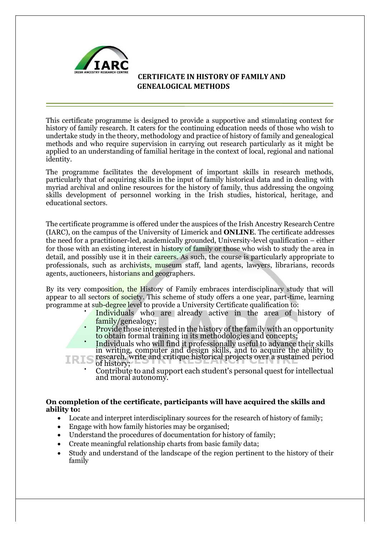

This certificate programme is designed to provide a supportive and stimulating context for history of family research. It caters for the continuing education needs of those who wish to undertake study in the theory, methodology and practice of history of family and genealogical methods and who require supervision in carrying out research particularly as it might be applied to an understanding of familial heritage in the context of local, regional and national identity.

The programme facilitates the development of important skills in research methods, particularly that of acquiring skills in the input of family historical data and in dealing with myriad archival and online resources for the history of family, thus addressing the ongoing skills development of personnel working in the Irish studies, historical, heritage, and educational sectors.

The certificate programme is offered under the auspices of the Irish Ancestry Research Centre (IARC), on the campus of the University of Limerick and **ONLINE**. The certificate addresses the need for a practitioner-led, academically grounded, University-level qualification – either for those with an existing interest in history of family or those who wish to study the area in detail, and possibly use it in their careers. As such, the course is particularly appropriate to professionals, such as archivists, museum staff, land agents, lawyers, librarians, records agents, auctioneers, historians and geographers.

By its very composition, the History of Family embraces interdisciplinary study that will appear to all sectors of society. This scheme of study offers a one year, part-time, learning programme at sub-degree level to provide a University Certificate qualification to:

- Individuals who are already active in the area of history of family/genealogy;
- Provide those interested in the history of the family with an opportunity to obtain formal training in its methodologies and concepts;
- Individuals who will find it professionally useful to advance their skills in writing, computer and design skills, and to acquire the ability to
- research, write and critique historical projects over a sustained period IRIS of history;
	- Contribute to and support each student's personal quest for intellectual and moral autonomy.

### **On completion of the certificate, participants will have acquired the skills and ability to:**

- Locate and interpret interdisciplinary sources for the research of history of family;
- Engage with how family histories may be organised;
- Understand the procedures of documentation for history of family;
- Create meaningful relationship charts from basic family data;
- Study and understand of the landscape of the region pertinent to the history of their family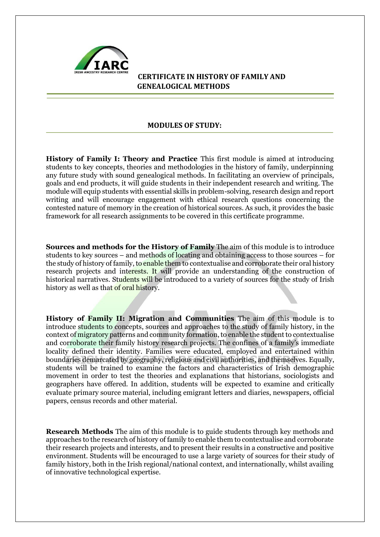

### **MODULES OF STUDY:**

**History of Family I: Theory and Practice** This first module is aimed at introducing students to key concepts, theories and methodologies in the history of family, underpinning any future study with sound genealogical methods. In facilitating an overview of principals, goals and end products, it will guide students in their independent research and writing. The module will equip students with essential skills in problem-solving, research design and report writing and will encourage engagement with ethical research questions concerning the contested nature of memory in the creation of historical sources. As such, it provides the basic framework for all research assignments to be covered in this certificate programme.

**Sources and methods for the History of Family** The aim of this module is to introduce students to key sources – and methods of locating and obtaining access to those sources – for the study of history of family, to enable them to contextualise and corroborate their oral history research projects and interests. It will provide an understanding of the construction of historical narratives. Students will be introduced to a variety of sources for the study of Irish history as well as that of oral history.

**History of Family II: Migration and Communities** The aim of this module is to introduce students to concepts, sources and approaches to the study of family history, in the context of migratory patterns and community formation, to enable the student to contextualise and corroborate their family history research projects. The confines of a family's immediate locality defined their identity. Families were educated, employed and entertained within boundaries demarcated by geography, religious and civil authorities, and themselves. Equally, students will be trained to examine the factors and characteristics of Irish demographic movement in order to test the theories and explanations that historians, sociologists and geographers have offered. In addition, students will be expected to examine and critically evaluate primary source material, including emigrant letters and diaries, newspapers, official papers, census records and other material.

**Research Methods** The aim of this module is to guide students through key methods and approaches to the research of history of family to enable them to contextualise and corroborate their research projects and interests, and to present their results in a constructive and positive environment. Students will be encouraged to use a large variety of sources for their study of family history, both in the Irish regional/national context, and internationally, whilst availing of innovative technological expertise.